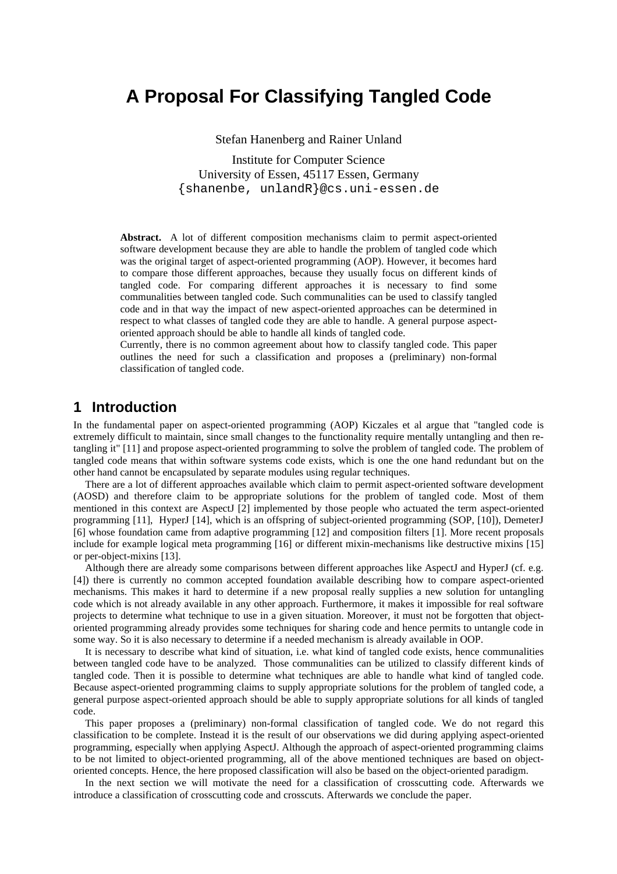# **A Proposal For Classifying Tangled Code**

Stefan Hanenberg and Rainer Unland

Institute for Computer Science University of Essen, 45117 Essen, Germany {shanenbe, unlandR}@cs.uni-essen.de

**Abstract.** A lot of different composition mechanisms claim to permit aspect-oriented software development because they are able to handle the problem of tangled code which was the original target of aspect-oriented programming (AOP). However, it becomes hard to compare those different approaches, because they usually focus on different kinds of tangled code. For comparing different approaches it is necessary to find some communalities between tangled code. Such communalities can be used to classify tangled code and in that way the impact of new aspect-oriented approaches can be determined in respect to what classes of tangled code they are able to handle. A general purpose aspectoriented approach should be able to handle all kinds of tangled code.

Currently, there is no common agreement about how to classify tangled code. This paper outlines the need for such a classification and proposes a (preliminary) non-formal classification of tangled code.

## **1 Introduction**

In the fundamental paper on aspect-oriented programming (AOP) Kiczales et al argue that "tangled code is extremely difficult to maintain, since small changes to the functionality require mentally untangling and then retangling it" [11] and propose aspect-oriented programming to solve the problem of tangled code. The problem of tangled code means that within software systems code exists, which is one the one hand redundant but on the other hand cannot be encapsulated by separate modules using regular techniques.

There are a lot of different approaches available which claim to permit aspect-oriented software development (AOSD) and therefore claim to be appropriate solutions for the problem of tangled code. Most of them mentioned in this context are AspectJ [2] implemented by those people who actuated the term aspect-oriented programming [11], HyperJ [14], which is an offspring of subject-oriented programming (SOP, [10]), DemeterJ [6] whose foundation came from adaptive programming [12] and composition filters [1]. More recent proposals include for example logical meta programming [16] or different mixin-mechanisms like destructive mixins [15] or per-object-mixins [13].

Although there are already some comparisons between different approaches like AspectJ and HyperJ (cf. e.g. [4]) there is currently no common accepted foundation available describing how to compare aspect-oriented mechanisms. This makes it hard to determine if a new proposal really supplies a new solution for untangling code which is not already available in any other approach. Furthermore, it makes it impossible for real software projects to determine what technique to use in a given situation. Moreover, it must not be forgotten that objectoriented programming already provides some techniques for sharing code and hence permits to untangle code in some way. So it is also necessary to determine if a needed mechanism is already available in OOP.

It is necessary to describe what kind of situation, i.e. what kind of tangled code exists, hence communalities between tangled code have to be analyzed. Those communalities can be utilized to classify different kinds of tangled code. Then it is possible to determine what techniques are able to handle what kind of tangled code. Because aspect-oriented programming claims to supply appropriate solutions for the problem of tangled code, a general purpose aspect-oriented approach should be able to supply appropriate solutions for all kinds of tangled code.

This paper proposes a (preliminary) non-formal classification of tangled code. We do not regard this classification to be complete. Instead it is the result of our observations we did during applying aspect-oriented programming, especially when applying AspectJ. Although the approach of aspect-oriented programming claims to be not limited to object-oriented programming, all of the above mentioned techniques are based on objectoriented concepts. Hence, the here proposed classification will also be based on the object-oriented paradigm.

In the next section we will motivate the need for a classification of crosscutting code. Afterwards we introduce a classification of crosscutting code and crosscuts. Afterwards we conclude the paper.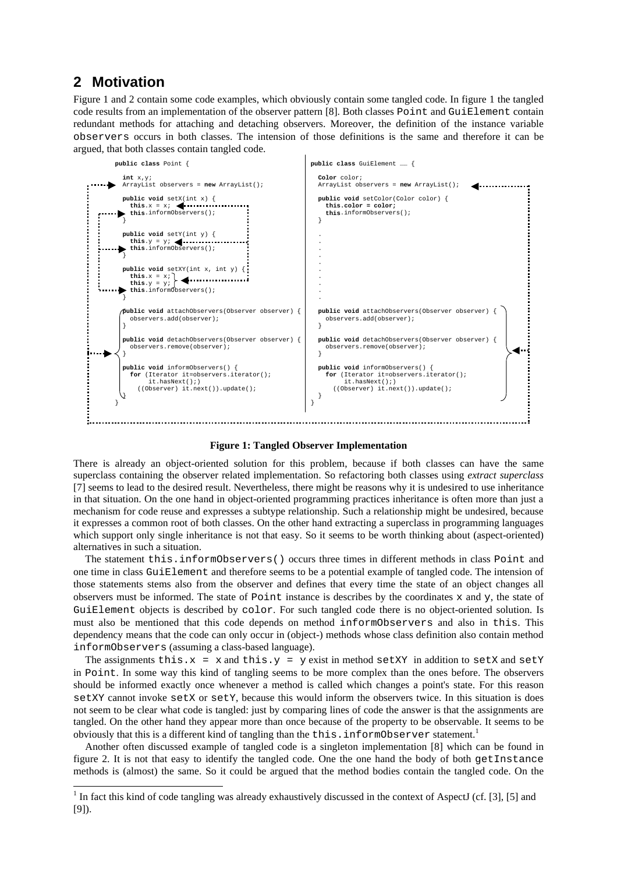## **2 Motivation**

Figure 1 and 2 contain some code examples, which obviously contain some tangled code. In figure 1 the tangled code results from an implementation of the observer pattern [8]. Both classes Point and GuiElement contain redundant methods for attaching and detaching observers. Moreover, the definition of the instance variable observers occurs in both classes. The intension of those definitions is the same and therefore it can be argued, that both classes contain tangled code.



#### **Figure 1: Tangled Observer Implementation**

There is already an object-oriented solution for this problem, because if both classes can have the same superclass containing the observer related implementation. So refactoring both classes using *extract superclass* [7] seems to lead to the desired result. Nevertheless, there might be reasons why it is undesired to use inheritance in that situation. On the one hand in object-oriented programming practices inheritance is often more than just a mechanism for code reuse and expresses a subtype relationship. Such a relationship might be undesired, because it expresses a common root of both classes. On the other hand extracting a superclass in programming languages which support only single inheritance is not that easy. So it seems to be worth thinking about (aspect-oriented) alternatives in such a situation.

The statement this.informObservers() occurs three times in different methods in class Point and one time in class GuiElement and therefore seems to be a potential example of tangled code. The intension of those statements stems also from the observer and defines that every time the state of an object changes all observers must be informed. The state of Point instance is describes by the coordinates x and y, the state of GuiElement objects is described by color. For such tangled code there is no object-oriented solution. Is must also be mentioned that this code depends on method informObservers and also in this. This dependency means that the code can only occur in (object-) methods whose class definition also contain method informObservers (assuming a class-based language).

The assignments this. $x = x$  and this. $y = y$  exist in method setXY in addition to setX and setY in Point. In some way this kind of tangling seems to be more complex than the ones before. The observers should be informed exactly once whenever a method is called which changes a point's state. For this reason setXY cannot invoke setX or setY, because this would inform the observers twice. In this situation is does not seem to be clear what code is tangled: just by comparing lines of code the answer is that the assignments are tangled. On the other hand they appear more than once because of the property to be observable. It seems to be obviously that this is a different kind of tangling than the this. informObserver statement.<sup>1</sup>

Another often discussed example of tangled code is a singleton implementation [8] which can be found in figure 2. It is not that easy to identify the tangled code. One the one hand the body of both getInstance methods is (almost) the same. So it could be argued that the method bodies contain the tangled code. On the

<sup>&</sup>lt;sup>1</sup> In fact this kind of code tangling was already exhaustively discussed in the context of AspectJ (cf. [3], [5] and [9]).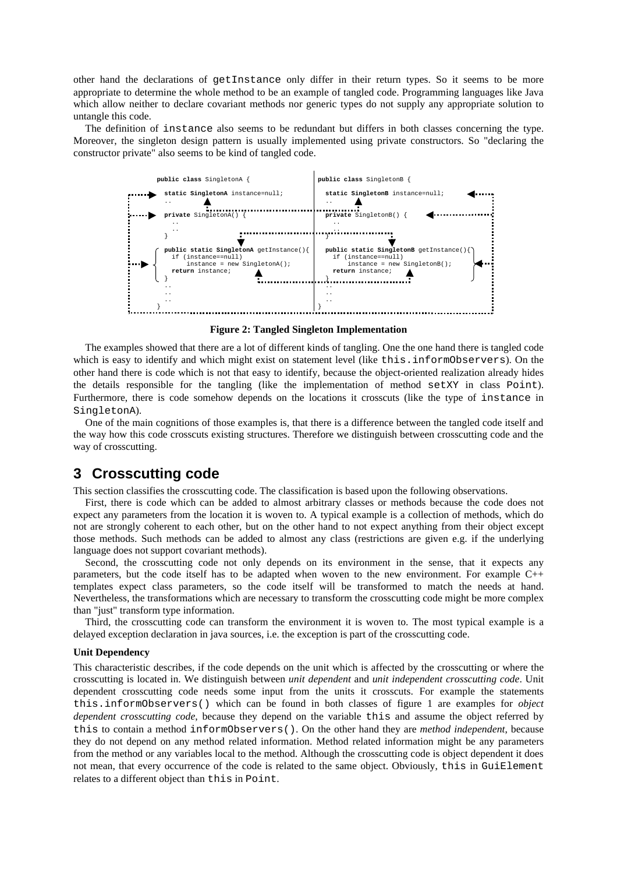other hand the declarations of getInstance only differ in their return types. So it seems to be more appropriate to determine the whole method to be an example of tangled code. Programming languages like Java which allow neither to declare covariant methods nor generic types do not supply any appropriate solution to untangle this code.

The definition of instance also seems to be redundant but differs in both classes concerning the type. Moreover, the singleton design pattern is usually implemented using private constructors. So "declaring the constructor private" also seems to be kind of tangled code.



**Figure 2: Tangled Singleton Implementation**

The examples showed that there are a lot of different kinds of tangling. One the one hand there is tangled code which is easy to identify and which might exist on statement level (like this.informObservers). On the other hand there is code which is not that easy to identify, because the object-oriented realization already hides the details responsible for the tangling (like the implementation of method setXY in class Point). Furthermore, there is code somehow depends on the locations it crosscuts (like the type of instance in SingletonA).

One of the main cognitions of those examples is, that there is a difference between the tangled code itself and the way how this code crosscuts existing structures. Therefore we distinguish between crosscutting code and the way of crosscutting.

### **3 Crosscutting code**

This section classifies the crosscutting code. The classification is based upon the following observations.

First, there is code which can be added to almost arbitrary classes or methods because the code does not expect any parameters from the location it is woven to. A typical example is a collection of methods, which do not are strongly coherent to each other, but on the other hand to not expect anything from their object except those methods. Such methods can be added to almost any class (restrictions are given e.g. if the underlying language does not support covariant methods).

Second, the crosscutting code not only depends on its environment in the sense, that it expects any parameters, but the code itself has to be adapted when woven to the new environment. For example C++ templates expect class parameters, so the code itself will be transformed to match the needs at hand. Nevertheless, the transformations which are necessary to transform the crosscutting code might be more complex than "just" transform type information.

Third, the crosscutting code can transform the environment it is woven to. The most typical example is a delayed exception declaration in java sources, i.e. the exception is part of the crosscutting code.

#### **Unit Dependency**

This characteristic describes, if the code depends on the unit which is affected by the crosscutting or where the crosscutting is located in. We distinguish between *unit dependent* and *unit independent crosscutting code*. Unit dependent crosscutting code needs some input from the units it crosscuts. For example the statements this.informObservers() which can be found in both classes of figure 1 are examples for *object dependent crosscutting code*, because they depend on the variable this and assume the object referred by this to contain a method informObservers(). On the other hand they are *method independent*, because they do not depend on any method related information. Method related information might be any parameters from the method or any variables local to the method. Although the crosscutting code is object dependent it does not mean, that every occurrence of the code is related to the same object. Obviously, this in GuiElement relates to a different object than this in Point.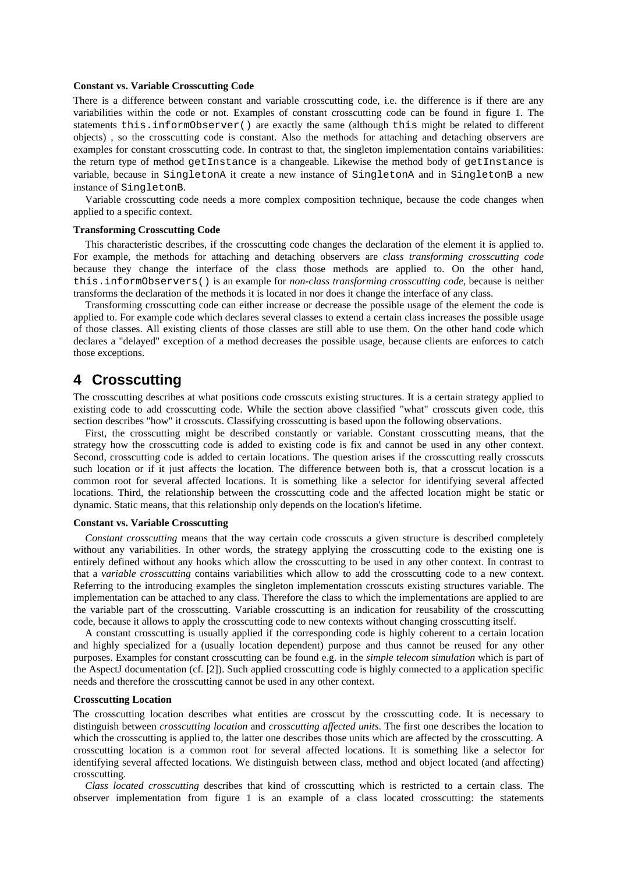#### **Constant vs. Variable Crosscutting Code**

There is a difference between constant and variable crosscutting code, i.e. the difference is if there are any variabilities within the code or not. Examples of constant crosscutting code can be found in figure 1. The statements this.informObserver() are exactly the same (although this might be related to different objects) , so the crosscutting code is constant. Also the methods for attaching and detaching observers are examples for constant crosscutting code. In contrast to that, the singleton implementation contains variabilities: the return type of method getInstance is a changeable. Likewise the method body of getInstance is variable, because in SingletonA it create a new instance of SingletonA and in SingletonB a new instance of SingletonB.

Variable crosscutting code needs a more complex composition technique, because the code changes when applied to a specific context.

#### **Transforming Crosscutting Code**

This characteristic describes, if the crosscutting code changes the declaration of the element it is applied to. For example, the methods for attaching and detaching observers are *class transforming crosscutting code* because they change the interface of the class those methods are applied to. On the other hand, this.informObservers() is an example for *non-class transforming crosscutting code*, because is neither transforms the declaration of the methods it is located in nor does it change the interface of any class.

Transforming crosscutting code can either increase or decrease the possible usage of the element the code is applied to. For example code which declares several classes to extend a certain class increases the possible usage of those classes. All existing clients of those classes are still able to use them. On the other hand code which declares a "delayed" exception of a method decreases the possible usage, because clients are enforces to catch those exceptions.

### **4 Crosscutting**

The crosscutting describes at what positions code crosscuts existing structures. It is a certain strategy applied to existing code to add crosscutting code. While the section above classified "what" crosscuts given code, this section describes "how" it crosscuts. Classifying crosscutting is based upon the following observations.

First, the crosscutting might be described constantly or variable. Constant crosscutting means, that the strategy how the crosscutting code is added to existing code is fix and cannot be used in any other context. Second, crosscutting code is added to certain locations. The question arises if the crosscutting really crosscuts such location or if it just affects the location. The difference between both is, that a crosscut location is a common root for several affected locations. It is something like a selector for identifying several affected locations. Third, the relationship between the crosscutting code and the affected location might be static or dynamic. Static means, that this relationship only depends on the location's lifetime.

#### **Constant vs. Variable Crosscutting**

*Constant crosscutting* means that the way certain code crosscuts a given structure is described completely without any variabilities. In other words, the strategy applying the crosscutting code to the existing one is entirely defined without any hooks which allow the crosscutting to be used in any other context. In contrast to that a *variable crosscutting* contains variabilities which allow to add the crosscutting code to a new context. Referring to the introducing examples the singleton implementation crosscuts existing structures variable. The implementation can be attached to any class. Therefore the class to which the implementations are applied to are the variable part of the crosscutting. Variable crosscutting is an indication for reusability of the crosscutting code, because it allows to apply the crosscutting code to new contexts without changing crosscutting itself.

A constant crosscutting is usually applied if the corresponding code is highly coherent to a certain location and highly specialized for a (usually location dependent) purpose and thus cannot be reused for any other purposes. Examples for constant crosscutting can be found e.g. in the *simple telecom simulation* which is part of the AspectJ documentation (cf. [2]). Such applied crosscutting code is highly connected to a application specific needs and therefore the crosscutting cannot be used in any other context.

#### **Crosscutting Location**

The crosscutting location describes what entities are crosscut by the crosscutting code. It is necessary to distinguish between *crosscutting location* and *crosscutting affected units*. The first one describes the location to which the crosscutting is applied to, the latter one describes those units which are affected by the crosscutting. A crosscutting location is a common root for several affected locations. It is something like a selector for identifying several affected locations. We distinguish between class, method and object located (and affecting) crosscutting.

*Class located crosscutting* describes that kind of crosscutting which is restricted to a certain class. The observer implementation from figure 1 is an example of a class located crosscutting: the statements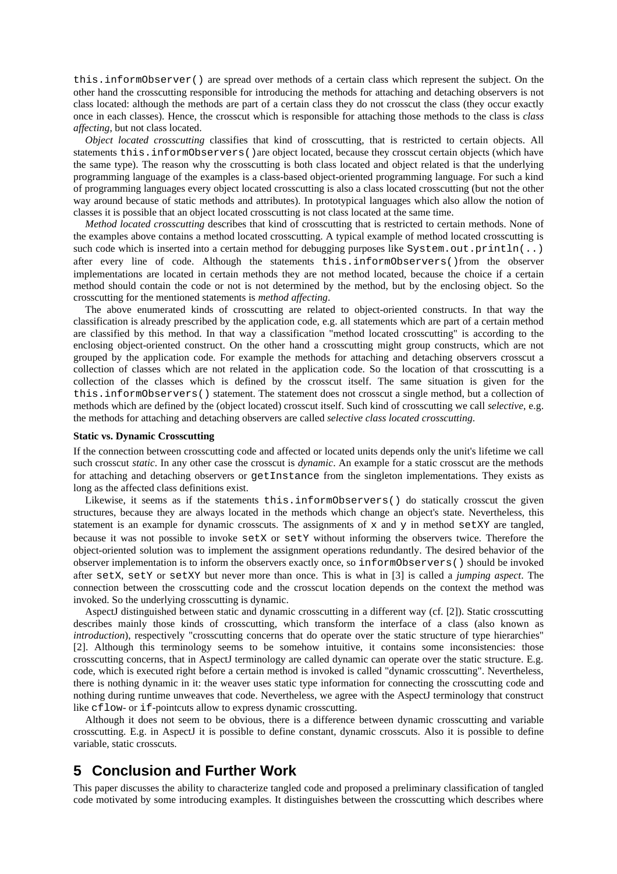this.informObserver() are spread over methods of a certain class which represent the subject. On the other hand the crosscutting responsible for introducing the methods for attaching and detaching observers is not class located: although the methods are part of a certain class they do not crosscut the class (they occur exactly once in each classes). Hence, the crosscut which is responsible for attaching those methods to the class is *class affecting*, but not class located.

*Object located crosscutting* classifies that kind of crosscutting, that is restricted to certain objects. All statements this.informObservers() are object located, because they crosscut certain objects (which have the same type). The reason why the crosscutting is both class located and object related is that the underlying programming language of the examples is a class-based object-oriented programming language. For such a kind of programming languages every object located crosscutting is also a class located crosscutting (but not the other way around because of static methods and attributes). In prototypical languages which also allow the notion of classes it is possible that an object located crosscutting is not class located at the same time.

*Method located crosscutting* describes that kind of crosscutting that is restricted to certain methods. None of the examples above contains a method located crosscutting. A typical example of method located crosscutting is such code which is inserted into a certain method for debugging purposes like  $System.out.println(..)$ after every line of code. Although the statements this.informObservers()from the observer implementations are located in certain methods they are not method located, because the choice if a certain method should contain the code or not is not determined by the method, but by the enclosing object. So the crosscutting for the mentioned statements is *method affecting*.

The above enumerated kinds of crosscutting are related to object-oriented constructs. In that way the classification is already prescribed by the application code, e.g. all statements which are part of a certain method are classified by this method. In that way a classification "method located crosscutting" is according to the enclosing object-oriented construct. On the other hand a crosscutting might group constructs, which are not grouped by the application code. For example the methods for attaching and detaching observers crosscut a collection of classes which are not related in the application code. So the location of that crosscutting is a collection of the classes which is defined by the crosscut itself. The same situation is given for the this.informObservers() statement. The statement does not crosscut a single method, but a collection of methods which are defined by the (object located) crosscut itself. Such kind of crosscutting we call *selective*, e.g. the methods for attaching and detaching observers are called *selective class located crosscutting*.

#### **Static vs. Dynamic Crosscutting**

If the connection between crosscutting code and affected or located units depends only the unit's lifetime we call such crosscut *static*. In any other case the crosscut is *dynamic*. An example for a static crosscut are the methods for attaching and detaching observers or getInstance from the singleton implementations. They exists as long as the affected class definitions exist.

Likewise, it seems as if the statements this.informObservers() do statically crosscut the given structures, because they are always located in the methods which change an object's state. Nevertheless, this statement is an example for dynamic crosscuts. The assignments of  $x$  and  $y$  in method set XY are tangled, because it was not possible to invoke setX or setY without informing the observers twice. Therefore the object-oriented solution was to implement the assignment operations redundantly. The desired behavior of the observer implementation is to inform the observers exactly once, so informObservers() should be invoked after setX, setY or setXY but never more than once. This is what in [3] is called a *jumping aspect*. The connection between the crosscutting code and the crosscut location depends on the context the method was invoked. So the underlying crosscutting is dynamic.

AspectJ distinguished between static and dynamic crosscutting in a different way (cf. [2]). Static crosscutting describes mainly those kinds of crosscutting, which transform the interface of a class (also known as *introduction*), respectively "crosscutting concerns that do operate over the static structure of type hierarchies" [2]. Although this terminology seems to be somehow intuitive, it contains some inconsistencies: those crosscutting concerns, that in AspectJ terminology are called dynamic can operate over the static structure. E.g. code, which is executed right before a certain method is invoked is called "dynamic crosscutting". Nevertheless, there is nothing dynamic in it: the weaver uses static type information for connecting the crosscutting code and nothing during runtime unweaves that code. Nevertheless, we agree with the AspectJ terminology that construct like cflow- or if-pointcuts allow to express dynamic crosscutting.

Although it does not seem to be obvious, there is a difference between dynamic crosscutting and variable crosscutting. E.g. in AspectJ it is possible to define constant, dynamic crosscuts. Also it is possible to define variable, static crosscuts.

### **5 Conclusion and Further Work**

This paper discusses the ability to characterize tangled code and proposed a preliminary classification of tangled code motivated by some introducing examples. It distinguishes between the crosscutting which describes where